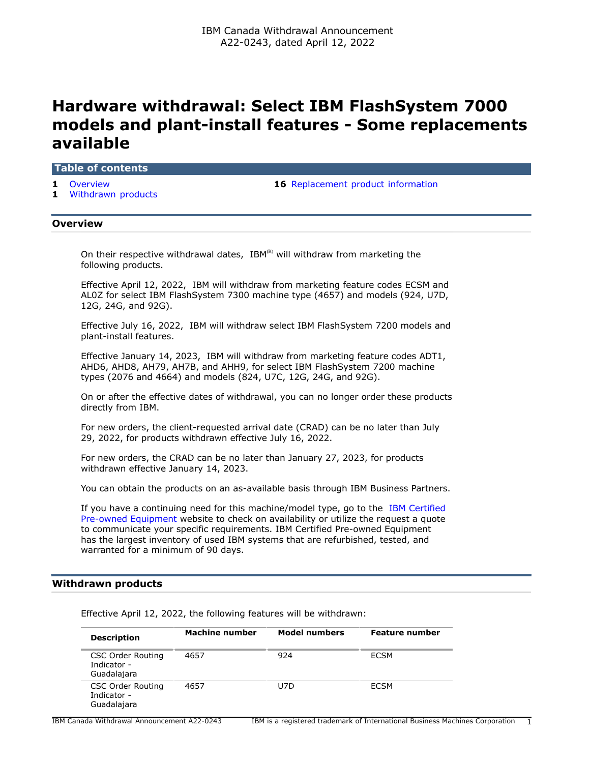# **Hardware withdrawal: Select IBM FlashSystem 7000 models and plant-install features - Some replacements available**

### **Table of contents**

- 
- **1** [Withdrawn products](#page-0-1)

**1** [Overview](#page-0-0) **16** [Replacement product information](#page-15-0)

# <span id="page-0-0"></span>**Overview**

On their respective withdrawal dates,  $IBM^{(R)}$  will withdraw from marketing the following products.

Effective April 12, 2022, IBM will withdraw from marketing feature codes ECSM and AL0Z for select IBM FlashSystem 7300 machine type (4657) and models (924, U7D, 12G, 24G, and 92G).

Effective July 16, 2022, IBM will withdraw select IBM FlashSystem 7200 models and plant-install features.

Effective January 14, 2023, IBM will withdraw from marketing feature codes ADT1, AHD6, AHD8, AH79, AH7B, and AHH9, for select IBM FlashSystem 7200 machine types (2076 and 4664) and models (824, U7C, 12G, 24G, and 92G).

On or after the effective dates of withdrawal, you can no longer order these products directly from IBM.

For new orders, the client-requested arrival date (CRAD) can be no later than July 29, 2022, for products withdrawn effective July 16, 2022.

For new orders, the CRAD can be no later than January 27, 2023, for products withdrawn effective January 14, 2023.

You can obtain the products on an as-available basis through IBM Business Partners.

If you have a continuing need for this machine/model type, go to the [IBM Certified](https://www.ibm.com/financing/pre-owned/ibm-certified-used-equipment) [Pre-owned Equipment](https://www.ibm.com/financing/pre-owned/ibm-certified-used-equipment) website to check on availability or utilize the request a quote to communicate your specific requirements. IBM Certified Pre-owned Equipment has the largest inventory of used IBM systems that are refurbished, tested, and warranted for a minimum of 90 days.

# <span id="page-0-1"></span>**Withdrawn products**

Effective April 12, 2022, the following features will be withdrawn:

| <b>Description</b>                                     | Machine number | <b>Model numbers</b> | <b>Feature number</b> |
|--------------------------------------------------------|----------------|----------------------|-----------------------|
| <b>CSC Order Routing</b><br>Indicator -<br>Guadalajara | 4657           | 924                  | ECSM                  |
| <b>CSC Order Routing</b><br>Indicator -<br>Guadalajara | 4657           | U7D                  | ECSM                  |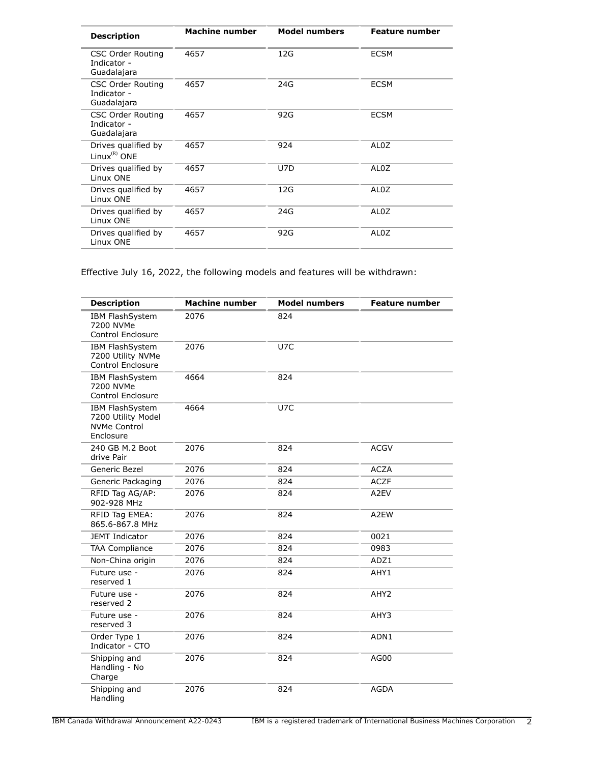| <b>Description</b>                                     | Machine number | <b>Model numbers</b> | <b>Feature number</b> |
|--------------------------------------------------------|----------------|----------------------|-----------------------|
| <b>CSC Order Routing</b><br>Indicator -<br>Guadalajara | 4657           | 12G                  | <b>ECSM</b>           |
| <b>CSC Order Routing</b><br>Indicator -<br>Guadalajara | 4657           | 24G                  | <b>ECSM</b>           |
| <b>CSC Order Routing</b><br>Indicator -<br>Guadalajara | 4657           | 92G                  | <b>ECSM</b>           |
| Drives qualified by<br>Linux ${}^{(R)}$ ONE            | 4657           | 924                  | AL0Z                  |
| Drives qualified by<br>Linux ONE                       | 4657           | U7D                  | AL <sub>0</sub> Z     |
| Drives qualified by<br>Linux ONE                       | 4657           | 12G                  | AL <sub>0</sub> Z     |
| Drives qualified by<br>Linux ONE                       | 4657           | 24G                  | AL <sub>0</sub> Z     |
| Drives qualified by<br>Linux ONE                       | 4657           | 92G                  | AL <sub>0</sub> Z     |

Effective July 16, 2022, the following models and features will be withdrawn:

| <b>Description</b>                                                        | <b>Machine number</b> | <b>Model numbers</b> | <b>Feature number</b> |
|---------------------------------------------------------------------------|-----------------------|----------------------|-----------------------|
| IBM FlashSystem<br>7200 NVMe<br><b>Control Enclosure</b>                  | 2076                  | 824                  |                       |
| <b>IBM FlashSystem</b><br>7200 Utility NVMe<br>Control Enclosure          | 2076                  | U7C                  |                       |
| IBM FlashSystem<br>7200 NVMe<br>Control Enclosure                         | 4664                  | 824                  |                       |
| IBM FlashSystem<br>7200 Utility Model<br><b>NVMe Control</b><br>Enclosure | 4664                  | U7C                  |                       |
| 240 GB M.2 Boot<br>drive Pair                                             | 2076                  | 824                  | <b>ACGV</b>           |
| Generic Bezel                                                             | 2076                  | 824                  | <b>ACZA</b>           |
| Generic Packaging                                                         | 2076                  | 824                  | <b>ACZF</b>           |
| RFID Tag AG/AP:<br>902-928 MHz                                            | 2076                  | 824                  | A2EV                  |
| RFID Tag EMEA:<br>865.6-867.8 MHz                                         | 2076                  | 824                  | A2EW                  |
| <b>JEMT Indicator</b>                                                     | 2076                  | 824                  | 0021                  |
| <b>TAA Compliance</b>                                                     | 2076                  | 824                  | 0983                  |
| Non-China origin                                                          | 2076                  | 824                  | ADZ1                  |
| Future use -<br>reserved 1                                                | 2076                  | 824                  | AHY1                  |
| Future use -<br>reserved 2                                                | 2076                  | 824                  | AHY <sub>2</sub>      |
| Future use -<br>reserved 3                                                | 2076                  | 824                  | AHY3                  |
| Order Type 1<br>Indicator - CTO                                           | 2076                  | 824                  | ADN1                  |
| Shipping and<br>Handling - No<br>Charge                                   | 2076                  | 824                  | AG00                  |
| Shipping and<br>Handling                                                  | 2076                  | 824                  | <b>AGDA</b>           |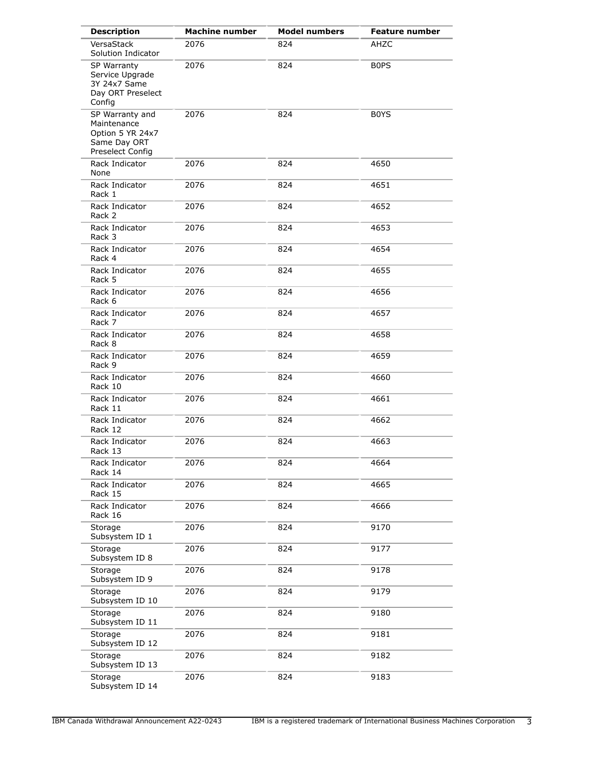| <b>Description</b>                                                                     | <b>Machine number</b> | <b>Model numbers</b> | <b>Feature number</b> |
|----------------------------------------------------------------------------------------|-----------------------|----------------------|-----------------------|
| VersaStack<br>Solution Indicator                                                       | 2076                  | 824                  | AHZC                  |
| SP Warranty<br>Service Upgrade<br>3Y 24x7 Same<br>Day ORT Preselect<br>Config          | 2076                  | 824                  | <b>BOPS</b>           |
| SP Warranty and<br>Maintenance<br>Option 5 YR 24x7<br>Same Day ORT<br>Preselect Config | 2076                  | 824                  | B0YS                  |
| Rack Indicator<br>None                                                                 | 2076                  | 824                  | 4650                  |
| Rack Indicator<br>Rack 1                                                               | 2076                  | 824                  | 4651                  |
| Rack Indicator<br>Rack 2                                                               | 2076                  | 824                  | 4652                  |
| Rack Indicator<br>Rack 3                                                               | 2076                  | 824                  | 4653                  |
| Rack Indicator<br>Rack 4                                                               | 2076                  | 824                  | 4654                  |
| Rack Indicator<br>Rack 5                                                               | 2076                  | 824                  | 4655                  |
| Rack Indicator<br>Rack 6                                                               | 2076                  | 824                  | 4656                  |
| Rack Indicator<br>Rack 7                                                               | 2076                  | 824                  | 4657                  |
| Rack Indicator<br>Rack 8                                                               | 2076                  | 824                  | 4658                  |
| Rack Indicator<br>Rack 9                                                               | 2076                  | 824                  | 4659                  |
| Rack Indicator<br>Rack 10                                                              | 2076                  | 824                  | 4660                  |
| Rack Indicator<br>Rack 11                                                              | 2076                  | 824                  | 4661                  |
| Rack Indicator<br>Rack 12                                                              | 2076                  | 824                  | 4662                  |
| Rack Indicator<br>Rack 13                                                              | 2076                  | 824                  | 4663                  |
| Rack Indicator<br>Rack 14                                                              | 2076                  | 824                  | 4664                  |
| Rack Indicator<br>Rack 15                                                              | 2076                  | 824                  | 4665                  |
| Rack Indicator<br>Rack 16                                                              | 2076                  | 824                  | 4666                  |
| Storage<br>Subsystem ID 1                                                              | 2076                  | 824                  | 9170                  |
| Storage<br>Subsystem ID 8                                                              | 2076                  | 824                  | 9177                  |
| Storage<br>Subsystem ID 9                                                              | 2076                  | 824                  | 9178                  |
| Storage<br>Subsystem ID 10                                                             | 2076                  | 824                  | 9179                  |
| Storage<br>Subsystem ID 11                                                             | 2076                  | 824                  | 9180                  |
| Storage<br>Subsystem ID 12                                                             | 2076                  | 824                  | 9181                  |
| Storage<br>Subsystem ID 13                                                             | 2076                  | 824                  | 9182                  |
| Storage<br>Subsystem ID 14                                                             | 2076                  | 824                  | 9183                  |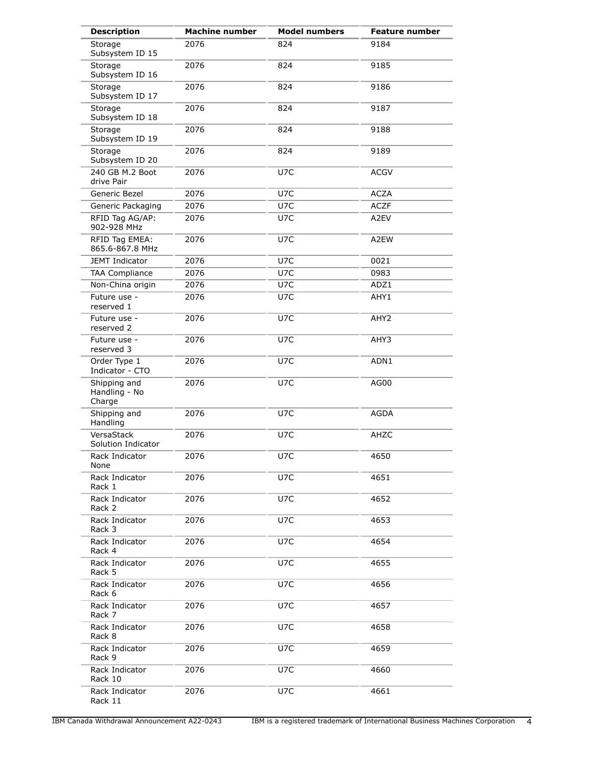| <b>Description</b>                      | <b>Machine number</b> | <b>Model numbers</b> | <b>Feature number</b> |
|-----------------------------------------|-----------------------|----------------------|-----------------------|
| Storage<br>Subsystem ID 15              | 2076                  | 824                  | 9184                  |
| Storage<br>Subsystem ID 16              | 2076                  | 824                  | 9185                  |
| Storage<br>Subsystem ID 17              | 2076                  | 824                  | 9186                  |
| Storage<br>Subsystem ID 18              | 2076                  | 824                  | 9187                  |
| Storage<br>Subsystem ID 19              | 2076                  | 824                  | 9188                  |
| Storage<br>Subsystem ID 20              | 2076                  | 824                  | 9189                  |
| 240 GB M.2 Boot<br>drive Pair           | 2076                  | U7C                  | <b>ACGV</b>           |
| Generic Bezel                           | 2076                  | U7C                  | <b>ACZA</b>           |
| Generic Packaging                       | 2076                  | U7C                  | <b>ACZF</b>           |
| RFID Tag AG/AP:<br>902-928 MHz          | 2076                  | U7C                  | A2EV                  |
| RFID Tag EMEA:<br>865.6-867.8 MHz       | 2076                  | U7C                  | A2EW                  |
| <b>JEMT Indicator</b>                   | 2076                  | U7C                  | 0021                  |
| <b>TAA Compliance</b>                   | 2076                  | U7C                  | 0983                  |
| Non-China origin                        | 2076                  | U7C                  | ADZ1                  |
| Future use -<br>reserved 1              | 2076                  | U7C                  | AHY1                  |
| Future use -<br>reserved 2              | 2076                  | U7C                  | AHY2                  |
| Future use -<br>reserved 3              | 2076                  | U7C                  | AHY3                  |
| Order Type 1<br>Indicator - CTO         | 2076                  | U7C                  | ADN1                  |
| Shipping and<br>Handling - No<br>Charge | 2076                  | U7C                  | AG00                  |
| Shipping and<br>Handling                | 2076                  | U7C                  | <b>AGDA</b>           |
| VersaStack<br>Solution Indicator        | 2076                  | U7C                  | AHZC                  |
| Rack Indicator<br>None                  | 2076                  | U7C                  | 4650                  |
| Rack Indicator<br>Rack 1                | 2076                  | U7C                  | 4651                  |
| Rack Indicator<br>Rack 2                | 2076                  | U7C                  | 4652                  |
| Rack Indicator<br>Rack 3                | 2076                  | U7C                  | 4653                  |
| Rack Indicator<br>Rack 4                | 2076                  | U7C                  | 4654                  |
| Rack Indicator<br>Rack 5                | 2076                  | U7C                  | 4655                  |
| Rack Indicator<br>Rack 6                | 2076                  | U7C                  | 4656                  |
| Rack Indicator<br>Rack 7                | 2076                  | U7C                  | 4657                  |
| Rack Indicator<br>Rack 8                | 2076                  | U7C                  | 4658                  |
| Rack Indicator<br>Rack 9                | 2076                  | U7C                  | 4659                  |
| Rack Indicator<br>Rack 10               | 2076                  | U7C                  | 4660                  |
| Rack Indicator<br>Rack 11               | 2076                  | U7C                  | 4661                  |

IBM Canada Withdrawal Announcement A22-0243 IBM is a registered trademark of International Business Machines Corporation 4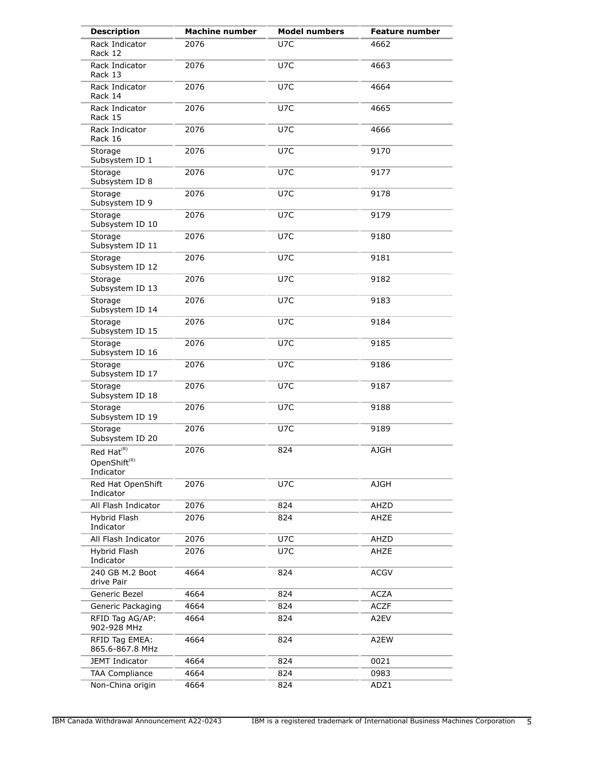| <b>Description</b>                                                          | <b>Machine number</b> | <b>Model numbers</b> | <b>Feature number</b> |
|-----------------------------------------------------------------------------|-----------------------|----------------------|-----------------------|
| Rack Indicator<br>Rack 12                                                   | 2076                  | U7C                  | 4662                  |
| Rack Indicator<br>Rack 13                                                   | 2076                  | U7C                  | 4663                  |
| Rack Indicator<br>Rack 14                                                   | 2076                  | U7C                  | 4664                  |
| Rack Indicator<br>Rack 15                                                   | 2076                  | U7C                  | 4665                  |
| Rack Indicator<br>Rack 16                                                   | 2076                  | U7C                  | 4666                  |
| Storage<br>Subsystem ID 1                                                   | 2076                  | U7C                  | 9170                  |
| Storage<br>Subsystem ID 8                                                   | 2076                  | U7C                  | 9177                  |
| Storage<br>Subsystem ID 9                                                   | 2076                  | U7C                  | 9178                  |
| Storage<br>Subsystem ID 10                                                  | 2076                  | U7C                  | 9179                  |
| Storage<br>Subsystem ID 11                                                  | 2076                  | U7C                  | 9180                  |
| Storage<br>Subsystem ID 12                                                  | 2076                  | U7C                  | 9181                  |
| Storage<br>Subsystem ID 13                                                  | 2076                  | U7C                  | 9182                  |
| Storage<br>Subsystem ID 14                                                  | 2076                  | U7C                  | 9183                  |
| Storage<br>Subsystem ID 15                                                  | 2076                  | U7C                  | 9184                  |
| Storage<br>Subsystem ID 16                                                  | 2076                  | U7C                  | 9185                  |
| Storage<br>Subsystem ID 17                                                  | 2076                  | U7C                  | 9186                  |
| Storage<br>Subsystem ID 18                                                  | 2076                  | U7C                  | 9187                  |
| Storage<br>Subsystem ID 19                                                  | 2076                  | U7C                  | 9188                  |
| Storage<br>Subsystem ID 20                                                  | 2076                  | U7C                  | 9189                  |
| Red Hat <sup>(R)</sup><br>OpenShift ${}^{\textrm{\tiny{(R)}}}$<br>Indicator | 2076                  | 824                  | <b>AJGH</b>           |
| Red Hat OpenShift<br>Indicator                                              | 2076                  | U7C                  | <b>AJGH</b>           |
| All Flash Indicator                                                         | 2076                  | 824                  | AHZD                  |
| Hybrid Flash<br>Indicator                                                   | 2076                  | 824                  | AHZE                  |
| All Flash Indicator                                                         | 2076                  | U7C                  | AHZD                  |
| Hybrid Flash<br>Indicator                                                   | 2076                  | U7C                  | AHZE                  |
| 240 GB M.2 Boot<br>drive Pair                                               | 4664                  | 824                  | <b>ACGV</b>           |
| Generic Bezel                                                               | 4664                  | 824                  | <b>ACZA</b>           |
| Generic Packaging                                                           | 4664                  | 824                  | <b>ACZF</b>           |
| RFID Tag AG/AP:<br>902-928 MHz                                              | 4664                  | 824                  | A2EV                  |
| RFID Tag EMEA:<br>865.6-867.8 MHz                                           | 4664                  | 824                  | A2EW                  |
| <b>JEMT Indicator</b>                                                       | 4664                  | 824                  | 0021                  |
| <b>TAA Compliance</b>                                                       | 4664                  | 824                  | 0983                  |
| Non-China origin                                                            | 4664                  | 824                  | ADZ1                  |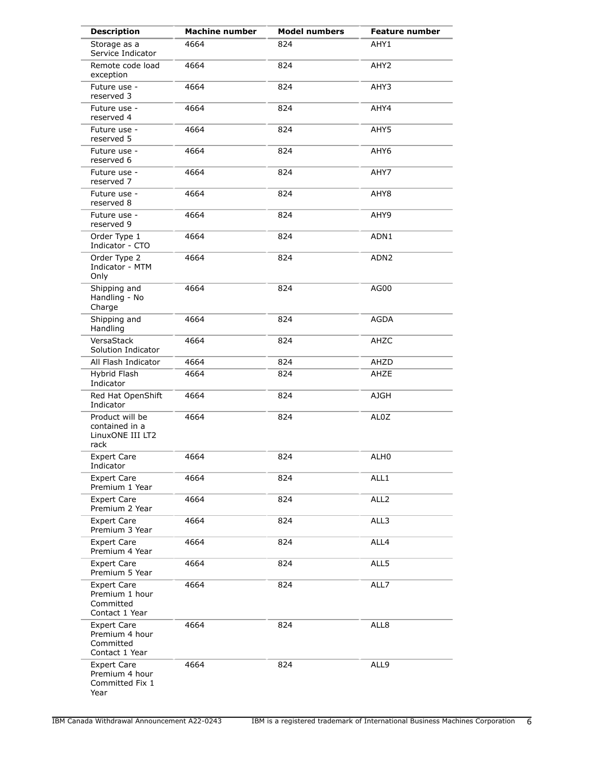| <b>Description</b>                                                  | <b>Machine number</b> | <b>Model numbers</b> | <b>Feature number</b> |
|---------------------------------------------------------------------|-----------------------|----------------------|-----------------------|
| Storage as a<br>Service Indicator                                   | 4664                  | 824                  | AHY1                  |
| Remote code load<br>exception                                       | 4664                  | 824                  | AHY <sub>2</sub>      |
| Future use -<br>reserved 3                                          | 4664                  | 824                  | AHY3                  |
| Future use -<br>reserved 4                                          | 4664                  | 824                  | AHY4                  |
| Future use -<br>reserved 5                                          | 4664                  | 824                  | AHY5                  |
| Future use -<br>reserved 6                                          | 4664                  | 824                  | AHY6                  |
| Future use -<br>reserved 7                                          | 4664                  | 824                  | AHY7                  |
| Future use -<br>reserved 8                                          | 4664                  | 824                  | AHY8                  |
| Future use -<br>reserved 9                                          | 4664                  | 824                  | AHY9                  |
| Order Type 1<br>Indicator - CTO                                     | 4664                  | 824                  | ADN1                  |
| Order Type 2<br>Indicator - MTM<br>Only                             | 4664                  | 824                  | ADN <sub>2</sub>      |
| Shipping and<br>Handling - No<br>Charge                             | 4664                  | 824                  | AG00                  |
| Shipping and<br>Handling                                            | 4664                  | 824                  | AGDA                  |
| VersaStack<br>Solution Indicator                                    | 4664                  | 824                  | AHZC                  |
| All Flash Indicator                                                 | 4664                  | 824                  | AHZD                  |
| Hybrid Flash<br>Indicator                                           | 4664                  | 824                  | AHZE                  |
| Red Hat OpenShift<br>Indicator                                      | 4664                  | 824                  | <b>AJGH</b>           |
| Product will be<br>contained in a<br>LinuxONE III LT2<br>rack       | 4664                  | 824                  | AL0Z                  |
| <b>Expert Care</b><br>Indicator                                     | 4664                  | 824                  | ALH <sub>0</sub>      |
| <b>Expert Care</b><br>Premium 1 Year                                | 4664                  | 824                  | ALL1                  |
| <b>Expert Care</b><br>Premium 2 Year                                | 4664                  | 824                  | ALL <sub>2</sub>      |
| <b>Expert Care</b><br>Premium 3 Year                                | 4664                  | 824                  | ALL3                  |
| <b>Expert Care</b><br>Premium 4 Year                                | 4664                  | 824                  | ALL4                  |
| <b>Expert Care</b><br>Premium 5 Year                                | 4664                  | 824                  | ALL5                  |
| <b>Expert Care</b><br>Premium 1 hour<br>Committed<br>Contact 1 Year | 4664                  | 824                  | ALL7                  |
| <b>Expert Care</b><br>Premium 4 hour<br>Committed<br>Contact 1 Year | 4664                  | 824                  | ALL8                  |
| <b>Expert Care</b><br>Premium 4 hour<br>Committed Fix 1<br>Year     | 4664                  | 824                  | ALL9                  |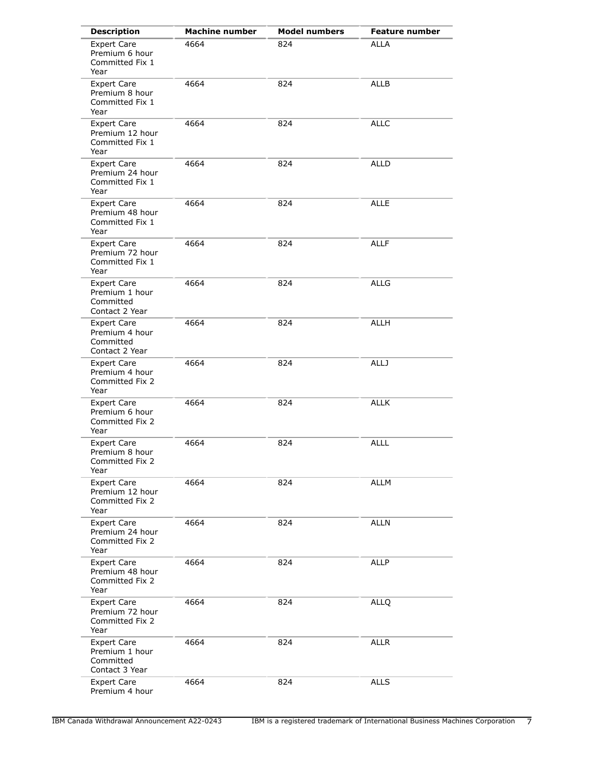| <b>Description</b>                                                  | <b>Machine number</b> | <b>Model numbers</b> | <b>Feature number</b> |
|---------------------------------------------------------------------|-----------------------|----------------------|-----------------------|
| <b>Expert Care</b><br>Premium 6 hour<br>Committed Fix 1<br>Year     | 4664                  | 824                  | <b>ALLA</b>           |
| <b>Expert Care</b><br>Premium 8 hour<br>Committed Fix 1<br>Year     | 4664                  | 824                  | <b>ALLB</b>           |
| <b>Expert Care</b><br>Premium 12 hour<br>Committed Fix 1<br>Year    | 4664                  | 824                  | <b>ALLC</b>           |
| <b>Expert Care</b><br>Premium 24 hour<br>Committed Fix 1<br>Year    | 4664                  | 824                  | <b>ALLD</b>           |
| <b>Expert Care</b><br>Premium 48 hour<br>Committed Fix 1<br>Year    | 4664                  | 824                  | <b>ALLE</b>           |
| <b>Expert Care</b><br>Premium 72 hour<br>Committed Fix 1<br>Year    | 4664                  | 824                  | <b>ALLF</b>           |
| <b>Expert Care</b><br>Premium 1 hour<br>Committed<br>Contact 2 Year | 4664                  | 824                  | <b>ALLG</b>           |
| <b>Expert Care</b><br>Premium 4 hour<br>Committed<br>Contact 2 Year | 4664                  | 824                  | <b>ALLH</b>           |
| <b>Expert Care</b><br>Premium 4 hour<br>Committed Fix 2<br>Year     | 4664                  | 824                  | <b>ALLJ</b>           |
| <b>Expert Care</b><br>Premium 6 hour<br>Committed Fix 2<br>Year     | 4664                  | 824                  | <b>ALLK</b>           |
| <b>Expert Care</b><br>Premium 8 hour<br>Committed Fix 2<br>Year     | 4664                  | 824                  | <b>ALLL</b>           |
| <b>Expert Care</b><br>Premium 12 hour<br>Committed Fix 2<br>Year    | 4664                  | 824                  | <b>ALLM</b>           |
| <b>Expert Care</b><br>Premium 24 hour<br>Committed Fix 2<br>Year    | 4664                  | 824                  | ALLN                  |
| <b>Expert Care</b><br>Premium 48 hour<br>Committed Fix 2<br>Year    | 4664                  | 824                  | ALLP                  |
| <b>Expert Care</b><br>Premium 72 hour<br>Committed Fix 2<br>Year    | 4664                  | 824                  | <b>ALLQ</b>           |
| <b>Expert Care</b><br>Premium 1 hour<br>Committed<br>Contact 3 Year | 4664                  | 824                  | <b>ALLR</b>           |
| <b>Expert Care</b><br>Premium 4 hour                                | 4664                  | 824                  | <b>ALLS</b>           |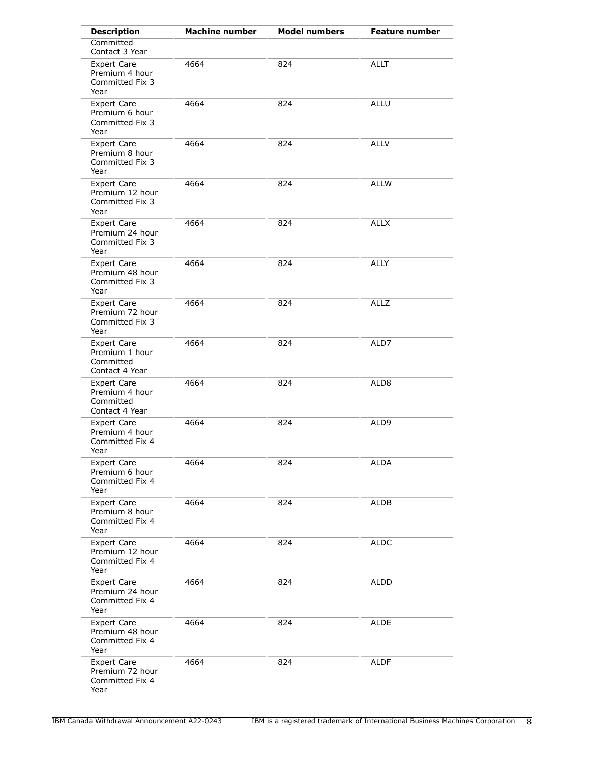| <b>Description</b>                                                  | <b>Machine number</b> | <b>Model numbers</b> | <b>Feature number</b> |
|---------------------------------------------------------------------|-----------------------|----------------------|-----------------------|
| Committed<br>Contact 3 Year                                         |                       |                      |                       |
| <b>Expert Care</b><br>Premium 4 hour<br>Committed Fix 3<br>Year     | 4664                  | 824                  | <b>ALLT</b>           |
| <b>Expert Care</b><br>Premium 6 hour<br>Committed Fix 3<br>Year     | 4664                  | 824                  | <b>ALLU</b>           |
| Expert Care<br>Premium 8 hour<br>Committed Fix 3<br>Year            | 4664                  | 824                  | <b>ALLV</b>           |
| <b>Expert Care</b><br>Premium 12 hour<br>Committed Fix 3<br>Year    | 4664                  | 824                  | <b>ALLW</b>           |
| <b>Expert Care</b><br>Premium 24 hour<br>Committed Fix 3<br>Year    | 4664                  | 824                  | <b>ALLX</b>           |
| <b>Expert Care</b><br>Premium 48 hour<br>Committed Fix 3<br>Year    | 4664                  | 824                  | <b>ALLY</b>           |
| <b>Expert Care</b><br>Premium 72 hour<br>Committed Fix 3<br>Year    | 4664                  | 824                  | <b>ALLZ</b>           |
| <b>Expert Care</b><br>Premium 1 hour<br>Committed<br>Contact 4 Year | 4664                  | 824                  | ALD7                  |
| <b>Expert Care</b><br>Premium 4 hour<br>Committed<br>Contact 4 Year | 4664                  | 824                  | ALD8                  |
| <b>Expert Care</b><br>Premium 4 hour<br>Committed Fix 4<br>Year     | 4664                  | 824                  | ALD9                  |
| <b>Expert Care</b><br>Premium 6 hour<br>Committed Fix 4<br>Year     | 4664                  | 824                  | <b>ALDA</b>           |
| <b>Expert Care</b><br>Premium 8 hour<br>Committed Fix 4<br>Year     | 4664                  | 824                  | ALDB                  |
| <b>Expert Care</b><br>Premium 12 hour<br>Committed Fix 4<br>Year    | 4664                  | 824                  | <b>ALDC</b>           |
| <b>Expert Care</b><br>Premium 24 hour<br>Committed Fix 4<br>Year    | 4664                  | 824                  | <b>ALDD</b>           |
| <b>Expert Care</b><br>Premium 48 hour<br>Committed Fix 4<br>Year    | 4664                  | 824                  | <b>ALDE</b>           |
| <b>Expert Care</b><br>Premium 72 hour<br>Committed Fix 4<br>Year    | 4664                  | 824                  | <b>ALDF</b>           |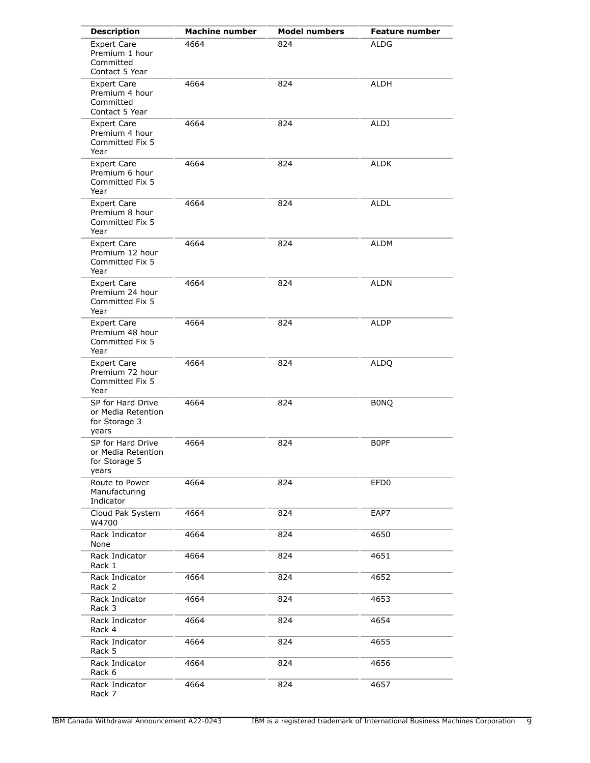| <b>Description</b>                                                  | <b>Machine number</b> | <b>Model numbers</b> | <b>Feature number</b> |
|---------------------------------------------------------------------|-----------------------|----------------------|-----------------------|
| <b>Expert Care</b><br>Premium 1 hour<br>Committed<br>Contact 5 Year | 4664                  | 824                  | <b>ALDG</b>           |
| <b>Expert Care</b><br>Premium 4 hour<br>Committed<br>Contact 5 Year | 4664                  | 824                  | ALDH                  |
| <b>Expert Care</b><br>Premium 4 hour<br>Committed Fix 5<br>Year     | 4664                  | 824                  | <b>ALDJ</b>           |
| <b>Expert Care</b><br>Premium 6 hour<br>Committed Fix 5<br>Year     | 4664                  | 824                  | <b>ALDK</b>           |
| <b>Expert Care</b><br>Premium 8 hour<br>Committed Fix 5<br>Year     | 4664                  | 824                  | <b>ALDL</b>           |
| <b>Expert Care</b><br>Premium 12 hour<br>Committed Fix 5<br>Year    | 4664                  | 824                  | <b>ALDM</b>           |
| <b>Expert Care</b><br>Premium 24 hour<br>Committed Fix 5<br>Year    | 4664                  | 824                  | <b>ALDN</b>           |
| <b>Expert Care</b><br>Premium 48 hour<br>Committed Fix 5<br>Year    | 4664                  | 824                  | <b>ALDP</b>           |
| <b>Expert Care</b><br>Premium 72 hour<br>Committed Fix 5<br>Year    | 4664                  | 824                  | <b>ALDQ</b>           |
| SP for Hard Drive<br>or Media Retention<br>for Storage 3<br>years   | 4664                  | 824                  | <b>BONQ</b>           |
| SP for Hard Drive<br>or Media Retention<br>for Storage 5<br>years   | 4664                  | 824                  | <b>BOPF</b>           |
| Route to Power<br>Manufacturing<br>Indicator                        | 4664                  | 824                  | EFD <sub>0</sub>      |
| Cloud Pak System<br>W4700                                           | 4664                  | 824                  | EAP7                  |
| Rack Indicator<br>None                                              | 4664                  | 824                  | 4650                  |
| Rack Indicator<br>Rack 1                                            | 4664                  | 824                  | 4651                  |
| Rack Indicator<br>Rack 2                                            | 4664                  | 824                  | 4652                  |
| Rack Indicator<br>Rack 3                                            | 4664                  | 824                  | 4653                  |
| Rack Indicator<br>Rack 4                                            | 4664                  | 824                  | 4654                  |
| Rack Indicator<br>Rack 5                                            | 4664                  | 824                  | 4655                  |
| Rack Indicator<br>Rack 6                                            | 4664                  | 824                  | 4656                  |
| Rack Indicator<br>Rack 7                                            | 4664                  | 824                  | 4657                  |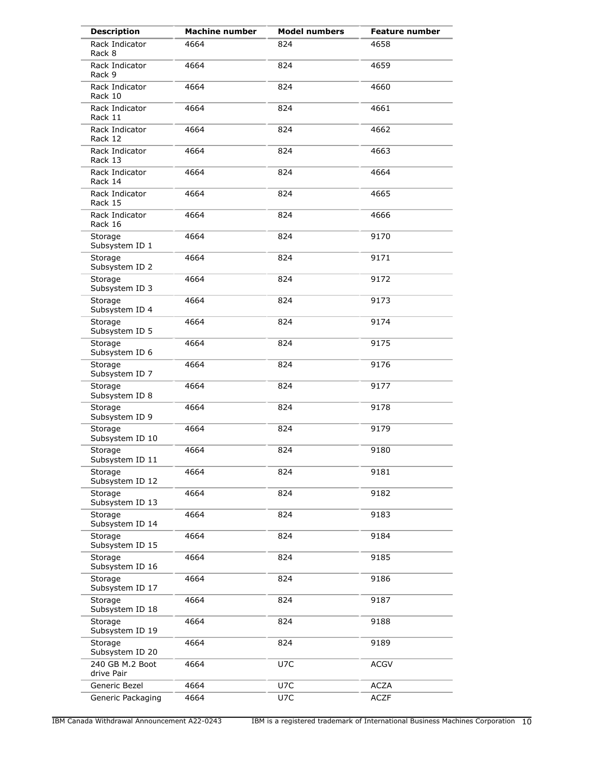| <b>Description</b>            | <b>Machine number</b> | <b>Model numbers</b> | <b>Feature number</b> |
|-------------------------------|-----------------------|----------------------|-----------------------|
| Rack Indicator<br>Rack 8      | 4664                  | 824                  | 4658                  |
| Rack Indicator<br>Rack 9      | 4664                  | 824                  | 4659                  |
| Rack Indicator<br>Rack 10     | 4664                  | 824                  | 4660                  |
| Rack Indicator<br>Rack 11     | 4664                  | 824                  | 4661                  |
| Rack Indicator<br>Rack 12     | 4664                  | 824                  | 4662                  |
| Rack Indicator<br>Rack 13     | 4664                  | 824                  | 4663                  |
| Rack Indicator<br>Rack 14     | 4664                  | 824                  | 4664                  |
| Rack Indicator<br>Rack 15     | 4664                  | 824                  | 4665                  |
| Rack Indicator<br>Rack 16     | 4664                  | 824                  | 4666                  |
| Storage<br>Subsystem ID 1     | 4664                  | 824                  | 9170                  |
| Storage<br>Subsystem ID 2     | 4664                  | 824                  | 9171                  |
| Storage<br>Subsystem ID 3     | 4664                  | 824                  | 9172                  |
| Storage<br>Subsystem ID 4     | 4664                  | 824                  | 9173                  |
| Storage<br>Subsystem ID 5     | 4664                  | 824                  | 9174                  |
| Storage<br>Subsystem ID 6     | 4664                  | 824                  | 9175                  |
| Storage<br>Subsystem ID 7     | 4664                  | 824                  | 9176                  |
| Storage<br>Subsystem ID 8     | 4664                  | 824                  | 9177                  |
| Storage<br>Subsystem ID 9     | 4664                  | 824                  | 9178                  |
| Storage<br>Subsystem ID 10    | 4664                  | 824                  | 9179                  |
| Storage<br>Subsystem ID 11    | 4664                  | 824                  | 9180                  |
| Storage<br>Subsystem ID 12    | 4664                  | 824                  | 9181                  |
| Storage<br>Subsystem ID 13    | 4664                  | 824                  | 9182                  |
| Storage<br>Subsystem ID 14    | 4664                  | 824                  | 9183                  |
| Storage<br>Subsystem ID 15    | 4664                  | 824                  | 9184                  |
| Storage<br>Subsystem ID 16    | 4664                  | 824                  | 9185                  |
| Storage<br>Subsystem ID 17    | 4664                  | 824                  | 9186                  |
| Storage<br>Subsystem ID 18    | 4664                  | 824                  | 9187                  |
| Storage<br>Subsystem ID 19    | 4664                  | 824                  | 9188                  |
| Storage<br>Subsystem ID 20    | 4664                  | 824                  | 9189                  |
| 240 GB M.2 Boot<br>drive Pair | 4664                  | U7C                  | <b>ACGV</b>           |
| Generic Bezel                 | 4664                  | U7C                  | <b>ACZA</b>           |
| Generic Packaging             | 4664                  | U7C                  | <b>ACZF</b>           |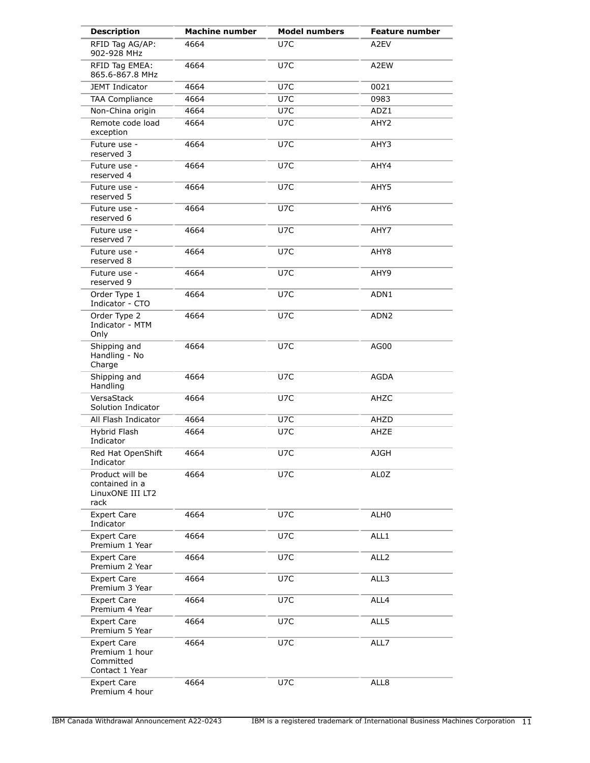| <b>Description</b>                                                  | <b>Machine number</b> | <b>Model numbers</b> | <b>Feature number</b> |
|---------------------------------------------------------------------|-----------------------|----------------------|-----------------------|
| RFID Tag AG/AP:<br>902-928 MHz                                      | 4664                  | U7C                  | A2EV                  |
| RFID Tag EMEA:<br>865.6-867.8 MHz                                   | 4664                  | U7C                  | A2EW                  |
| JEMT Indicator                                                      | 4664                  | U7C                  | 0021                  |
| <b>TAA Compliance</b>                                               | 4664                  | U7C                  | 0983                  |
| Non-China origin                                                    | 4664                  | U7C                  | ADZ1                  |
| Remote code load<br>exception                                       | 4664                  | U7C                  | AHY2                  |
| Future use -<br>reserved 3                                          | 4664                  | U7C                  | AHY3                  |
| Future use -<br>reserved 4                                          | 4664                  | U7C                  | AHY4                  |
| Future use -<br>reserved 5                                          | 4664                  | U7C                  | AHY5                  |
| Future use -<br>reserved 6                                          | 4664                  | U7C                  | AHY6                  |
| Future use -<br>reserved 7                                          | 4664                  | U7C                  | AHY7                  |
| Future use -<br>reserved 8                                          | 4664                  | U7C                  | AHY8                  |
| Future use -<br>reserved 9                                          | 4664                  | U7C                  | AHY9                  |
| Order Type 1<br>Indicator - CTO                                     | 4664                  | U7C                  | ADN1                  |
| Order Type 2<br>Indicator - MTM<br>Only                             | 4664                  | U7C                  | ADN <sub>2</sub>      |
| Shipping and<br>Handling - No<br>Charge                             | 4664                  | U7C                  | AG00                  |
| Shipping and<br>Handling                                            | 4664                  | U7C                  | <b>AGDA</b>           |
| VersaStack<br>Solution Indicator                                    | 4664                  | U7C                  | AHZC                  |
| All Flash Indicator                                                 | 4664                  | U7C                  | AHZD                  |
| Hybrid Flash<br>Indicator                                           | 4664                  | U7C                  | AHZE                  |
| Red Hat OpenShift<br>Indicator                                      | 4664                  | U7C                  | <b>AJGH</b>           |
| Product will be<br>contained in a<br>LinuxONE III LT2<br>rack       | 4664                  | U7C                  | AL0Z                  |
| <b>Expert Care</b><br>Indicator                                     | 4664                  | U7C                  | ALH0                  |
| <b>Expert Care</b><br>Premium 1 Year                                | 4664                  | U7C                  | ALL1                  |
| <b>Expert Care</b><br>Premium 2 Year                                | 4664                  | U7C                  | ALL <sub>2</sub>      |
| <b>Expert Care</b><br>Premium 3 Year                                | 4664                  | U7C                  | ALL3                  |
| <b>Expert Care</b><br>Premium 4 Year                                | 4664                  | U7C                  | ALL4                  |
| <b>Expert Care</b><br>Premium 5 Year                                | 4664                  | U7C                  | ALL5                  |
| <b>Expert Care</b><br>Premium 1 hour<br>Committed<br>Contact 1 Year | 4664                  | U7C                  | ALL7                  |
| <b>Expert Care</b><br>Premium 4 hour                                | 4664                  | U7C                  | ALL8                  |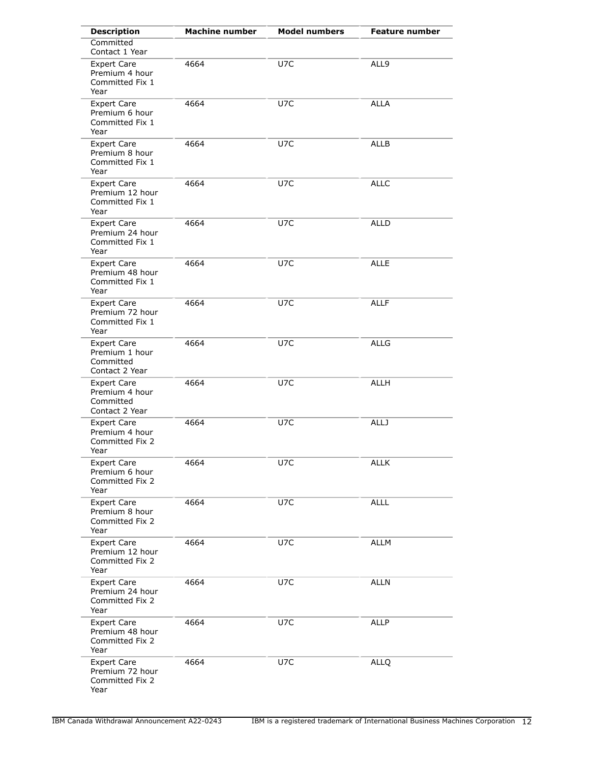| <b>Description</b>                                                  | <b>Machine number</b> | <b>Model numbers</b> | <b>Feature number</b> |
|---------------------------------------------------------------------|-----------------------|----------------------|-----------------------|
| Committed<br>Contact 1 Year                                         |                       |                      |                       |
| <b>Expert Care</b><br>Premium 4 hour<br>Committed Fix 1<br>Year     | 4664                  | U7C                  | ALL9                  |
| Expert Care<br>Premium 6 hour<br>Committed Fix 1<br>Year            | 4664                  | U7C                  | <b>ALLA</b>           |
| <b>Expert Care</b><br>Premium 8 hour<br>Committed Fix 1<br>Year     | 4664                  | U7C                  | <b>ALLB</b>           |
| <b>Expert Care</b><br>Premium 12 hour<br>Committed Fix 1<br>Year    | 4664                  | U7C                  | <b>ALLC</b>           |
| <b>Expert Care</b><br>Premium 24 hour<br>Committed Fix 1<br>Year    | 4664                  | U7C                  | <b>ALLD</b>           |
| <b>Expert Care</b><br>Premium 48 hour<br>Committed Fix 1<br>Year    | 4664                  | U7C                  | <b>ALLE</b>           |
| <b>Expert Care</b><br>Premium 72 hour<br>Committed Fix 1<br>Year    | 4664                  | U7C                  | <b>ALLF</b>           |
| <b>Expert Care</b><br>Premium 1 hour<br>Committed<br>Contact 2 Year | 4664                  | U7C                  | <b>ALLG</b>           |
| <b>Expert Care</b><br>Premium 4 hour<br>Committed<br>Contact 2 Year | 4664                  | U7C                  | <b>ALLH</b>           |
| <b>Expert Care</b><br>Premium 4 hour<br>Committed Fix 2<br>Year     | 4664                  | U7C                  | <b>ALLJ</b>           |
| <b>Expert Care</b><br>Premium 6 hour<br>Committed Fix 2<br>Year     | 4664                  | U7C                  | <b>ALLK</b>           |
| <b>Expert Care</b><br>Premium 8 hour<br>Committed Fix 2<br>Year     | 4664                  | U7C                  | <b>ALLL</b>           |
| <b>Expert Care</b><br>Premium 12 hour<br>Committed Fix 2<br>Year    | 4664                  | U7C                  | <b>ALLM</b>           |
| <b>Expert Care</b><br>Premium 24 hour<br>Committed Fix 2<br>Year    | 4664                  | U7C                  | <b>ALLN</b>           |
| <b>Expert Care</b><br>Premium 48 hour<br>Committed Fix 2<br>Year    | 4664                  | U7C                  | ALLP                  |
| <b>Expert Care</b><br>Premium 72 hour<br>Committed Fix 2<br>Year    | 4664                  | U7C                  | <b>ALLQ</b>           |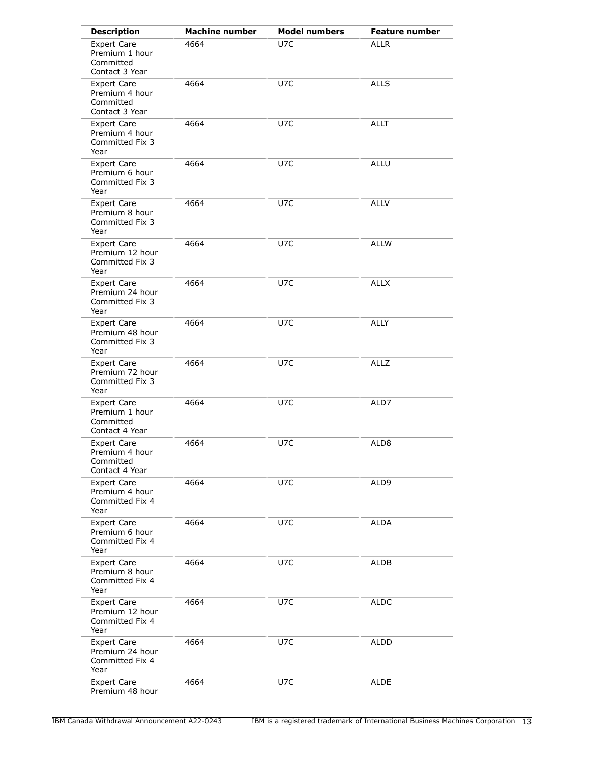| <b>Description</b>                                                  | <b>Machine number</b> | <b>Model numbers</b> | <b>Feature number</b> |
|---------------------------------------------------------------------|-----------------------|----------------------|-----------------------|
| <b>Expert Care</b><br>Premium 1 hour<br>Committed<br>Contact 3 Year | 4664                  | U7C                  | <b>ALLR</b>           |
| <b>Expert Care</b><br>Premium 4 hour<br>Committed<br>Contact 3 Year | 4664                  | U7C                  | <b>ALLS</b>           |
| <b>Expert Care</b><br>Premium 4 hour<br>Committed Fix 3<br>Year     | 4664                  | U7C                  | <b>ALLT</b>           |
| <b>Expert Care</b><br>Premium 6 hour<br>Committed Fix 3<br>Year     | 4664                  | U7C                  | ALLU                  |
| <b>Expert Care</b><br>Premium 8 hour<br>Committed Fix 3<br>Year     | 4664                  | U7C                  | <b>ALLV</b>           |
| <b>Expert Care</b><br>Premium 12 hour<br>Committed Fix 3<br>Year    | 4664                  | U7C                  | <b>ALLW</b>           |
| <b>Expert Care</b><br>Premium 24 hour<br>Committed Fix 3<br>Year    | 4664                  | U7C                  | <b>ALLX</b>           |
| <b>Expert Care</b><br>Premium 48 hour<br>Committed Fix 3<br>Year    | 4664                  | U7C                  | <b>ALLY</b>           |
| <b>Expert Care</b><br>Premium 72 hour<br>Committed Fix 3<br>Year    | 4664                  | U7C                  | <b>ALLZ</b>           |
| <b>Expert Care</b><br>Premium 1 hour<br>Committed<br>Contact 4 Year | 4664                  | U7C                  | ALD7                  |
| <b>Expert Care</b><br>Premium 4 hour<br>Committed<br>Contact 4 Year | 4664                  | U7C                  | ALD <sub>8</sub>      |
| <b>Expert Care</b><br>Premium 4 hour<br>Committed Fix 4<br>Year     | 4664                  | U7C                  | ALD9                  |
| <b>Expert Care</b><br>Premium 6 hour<br>Committed Fix 4<br>Year     | 4664                  | U7C                  | <b>ALDA</b>           |
| <b>Expert Care</b><br>Premium 8 hour<br>Committed Fix 4<br>Year     | 4664                  | U7C                  | <b>ALDB</b>           |
| <b>Expert Care</b><br>Premium 12 hour<br>Committed Fix 4<br>Year    | 4664                  | U7C                  | ALDC                  |
| <b>Expert Care</b><br>Premium 24 hour<br>Committed Fix 4<br>Year    | 4664                  | U7C                  | ALDD                  |
| <b>Expert Care</b><br>Premium 48 hour                               | 4664                  | U7C                  | <b>ALDE</b>           |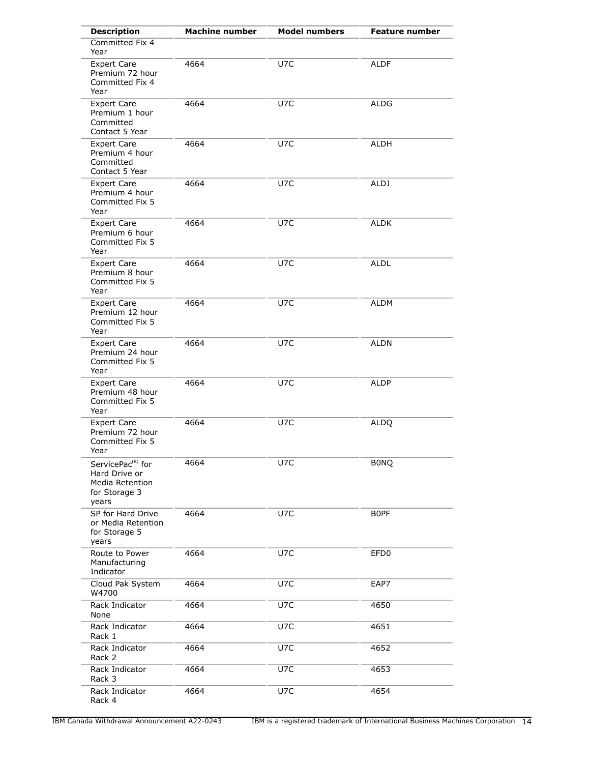| <b>Description</b>                                                                          | <b>Machine number</b> | <b>Model numbers</b> | <b>Feature number</b> |
|---------------------------------------------------------------------------------------------|-----------------------|----------------------|-----------------------|
| Committed Fix 4<br>Year                                                                     |                       |                      |                       |
| <b>Expert Care</b><br>Premium 72 hour<br>Committed Fix 4<br>Year                            | 4664                  | U7C                  | <b>ALDF</b>           |
| <b>Expert Care</b><br>Premium 1 hour<br>Committed<br>Contact 5 Year                         | 4664                  | U7C                  | <b>ALDG</b>           |
| <b>Expert Care</b><br>Premium 4 hour<br>Committed<br>Contact 5 Year                         | 4664                  | U7C                  | <b>ALDH</b>           |
| <b>Expert Care</b><br>Premium 4 hour<br>Committed Fix 5<br>Year                             | 4664                  | U7C                  | ALDJ                  |
| <b>Expert Care</b><br>Premium 6 hour<br>Committed Fix 5<br>Year                             | 4664                  | U7C                  | <b>ALDK</b>           |
| <b>Expert Care</b><br>Premium 8 hour<br>Committed Fix 5<br>Year                             | 4664                  | U7C                  | <b>ALDL</b>           |
| <b>Expert Care</b><br>Premium 12 hour<br>Committed Fix 5<br>Year                            | 4664                  | U7C                  | ALDM                  |
| <b>Expert Care</b><br>Premium 24 hour<br>Committed Fix 5<br>Year                            | 4664                  | U7C                  | ALDN                  |
| <b>Expert Care</b><br>Premium 48 hour<br>Committed Fix 5<br>Year                            | 4664                  | U7C                  | ALDP                  |
| <b>Expert Care</b><br>Premium 72 hour<br>Committed Fix 5<br>Year                            | 4664                  | U7C                  | <b>ALDQ</b>           |
| ServicePac <sup>(R)</sup> for<br>Hard Drive or<br>Media Retention<br>for Storage 3<br>years | 4664                  | U7C                  | <b>BONQ</b>           |
| SP for Hard Drive<br>or Media Retention<br>for Storage 5<br>years                           | 4664                  | U7C                  | <b>BOPF</b>           |
| Route to Power<br>Manufacturing<br>Indicator                                                | 4664                  | U7C                  | EFD <sub>0</sub>      |
| Cloud Pak System<br>W4700                                                                   | 4664                  | U7C                  | EAP7                  |
| Rack Indicator<br>None                                                                      | 4664                  | U7C                  | 4650                  |
| Rack Indicator<br>Rack 1                                                                    | 4664                  | U7C                  | 4651                  |
| Rack Indicator<br>Rack 2                                                                    | 4664                  | U7C                  | 4652                  |
| Rack Indicator<br>Rack 3                                                                    | 4664                  | U7C                  | 4653                  |
| Rack Indicator<br>Rack 4                                                                    | 4664                  | U7C                  | 4654                  |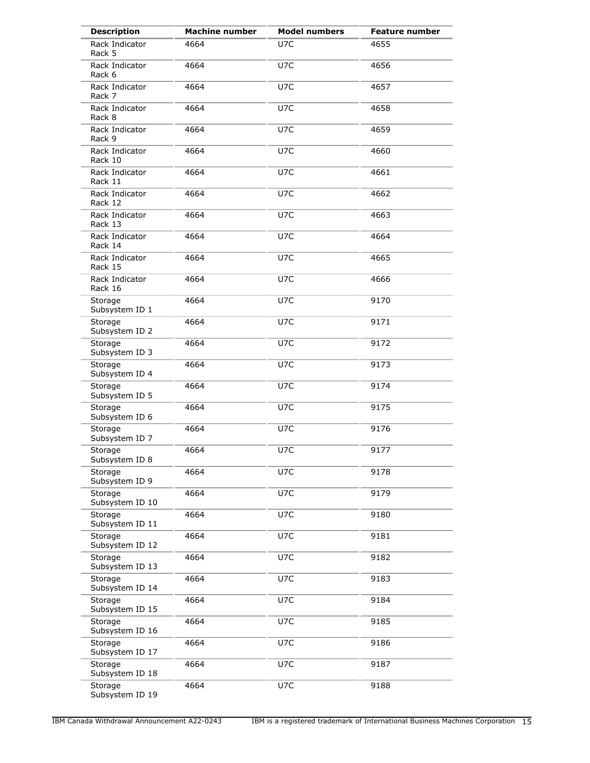| <b>Description</b>         | <b>Machine number</b> | <b>Model numbers</b> | <b>Feature number</b> |
|----------------------------|-----------------------|----------------------|-----------------------|
| Rack Indicator<br>Rack 5   | 4664                  | U7C                  | 4655                  |
| Rack Indicator<br>Rack 6   | 4664                  | U7C                  | 4656                  |
| Rack Indicator<br>Rack 7   | 4664                  | U7C                  | 4657                  |
| Rack Indicator<br>Rack 8   | 4664                  | U7C                  | 4658                  |
| Rack Indicator<br>Rack 9   | 4664                  | U7C                  | 4659                  |
| Rack Indicator<br>Rack 10  | 4664                  | U7C                  | 4660                  |
| Rack Indicator<br>Rack 11  | 4664                  | U7C                  | 4661                  |
| Rack Indicator<br>Rack 12  | 4664                  | U7C                  | 4662                  |
| Rack Indicator<br>Rack 13  | 4664                  | U7C                  | 4663                  |
| Rack Indicator<br>Rack 14  | 4664                  | U7C                  | 4664                  |
| Rack Indicator<br>Rack 15  | 4664                  | U7C                  | 4665                  |
| Rack Indicator<br>Rack 16  | 4664                  | U7C                  | 4666                  |
| Storage<br>Subsystem ID 1  | 4664                  | U7C                  | 9170                  |
| Storage<br>Subsystem ID 2  | 4664                  | U7C                  | 9171                  |
| Storage<br>Subsystem ID 3  | 4664                  | U7C                  | 9172                  |
| Storage<br>Subsystem ID 4  | 4664                  | U7C                  | 9173                  |
| Storage<br>Subsystem ID 5  | 4664                  | U7C                  | 9174                  |
| Storage<br>Subsystem ID 6  | 4664                  | U7C                  | 9175                  |
| Storage<br>Subsystem ID 7  | 4664                  | U7C                  | 9176                  |
| Storage<br>Subsystem ID 8  | 4664                  | U7C                  | 9177                  |
| Storage<br>Subsystem ID 9  | 4664                  | U7C                  | 9178                  |
| Storage<br>Subsystem ID 10 | 4664                  | U7C                  | 9179                  |
| Storage<br>Subsystem ID 11 | 4664                  | U7C                  | 9180                  |
| Storage<br>Subsystem ID 12 | 4664                  | U7C                  | 9181                  |
| Storage<br>Subsystem ID 13 | 4664                  | U7C                  | 9182                  |
| Storage<br>Subsystem ID 14 | 4664                  | U7C                  | 9183                  |
| Storage<br>Subsystem ID 15 | 4664                  | U7C                  | 9184                  |
| Storage<br>Subsystem ID 16 | 4664                  | U7C                  | 9185                  |
| Storage<br>Subsystem ID 17 | 4664                  | U7C                  | 9186                  |
| Storage<br>Subsystem ID 18 | 4664                  | U7C                  | 9187                  |
| Storage<br>Subsystem ID 19 | 4664                  | U7C                  | 9188                  |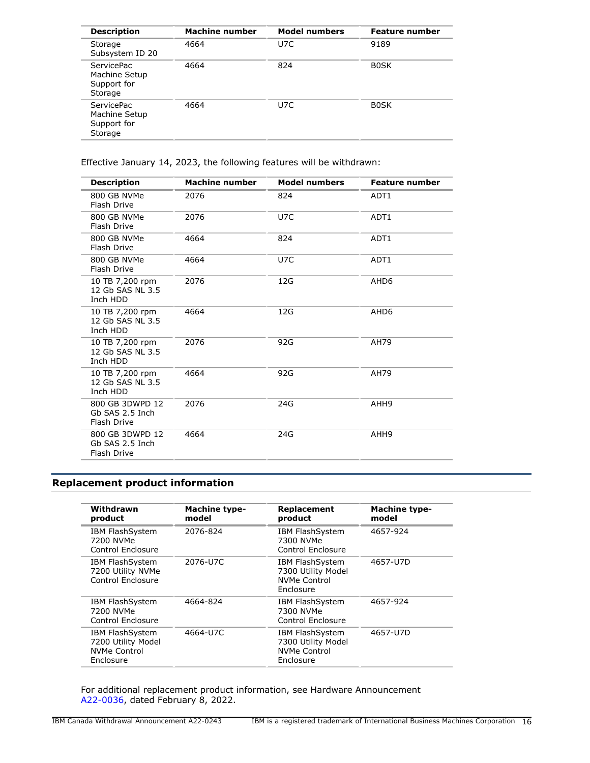| <b>Description</b>                                           | <b>Machine number</b> | <b>Model numbers</b> | <b>Feature number</b> |
|--------------------------------------------------------------|-----------------------|----------------------|-----------------------|
| Storage<br>Subsystem ID 20                                   | 4664                  | U7C                  | 9189                  |
| <b>ServicePac</b><br>Machine Setup<br>Support for<br>Storage | 4664                  | 824                  | <b>BOSK</b>           |
| <b>ServicePac</b><br>Machine Setup<br>Support for<br>Storage | 4664                  | U7C                  | <b>BOSK</b>           |

Effective January 14, 2023, the following features will be withdrawn:

| <b>Description</b>                                | <b>Machine number</b> | <b>Model numbers</b> | <b>Feature number</b> |
|---------------------------------------------------|-----------------------|----------------------|-----------------------|
| 800 GB NVMe<br>Flash Drive                        | 2076                  | 824                  | ADT <sub>1</sub>      |
| 800 GB NVMe<br>Flash Drive                        | 2076                  | U7C                  | ADT1                  |
| 800 GB NVMe<br>Flash Drive                        | 4664                  | 824                  | ADT <sub>1</sub>      |
| 800 GB NVMe<br>Flash Drive                        | 4664                  | U7C                  | ADT <sub>1</sub>      |
| 10 TB 7,200 rpm<br>12 Gb SAS NL 3.5<br>Inch HDD   | 2076                  | 12G                  | AHD <sub>6</sub>      |
| 10 TB 7,200 rpm<br>12 Gb SAS NL 3.5<br>Inch HDD   | 4664                  | 12G                  | AHD <sub>6</sub>      |
| 10 TB 7,200 rpm<br>12 Gb SAS NL 3.5<br>Inch HDD   | 2076                  | 92G                  | AH79                  |
| 10 TB 7,200 rpm<br>12 Gb SAS NL 3.5<br>Inch HDD   | 4664                  | 92G                  | AH79                  |
| 800 GB 3DWPD 12<br>Gb SAS 2.5 Inch<br>Flash Drive | 2076                  | 24G                  | AHH9                  |
| 800 GB 3DWPD 12<br>Gb SAS 2.5 Inch<br>Flash Drive | 4664                  | 24G                  | AHH9                  |

# <span id="page-15-0"></span>**Replacement product information**

| Withdrawn<br>product                                                      | <b>Machine type-</b><br>model | Replacement<br>product                                                           | <b>Machine type-</b><br>model |
|---------------------------------------------------------------------------|-------------------------------|----------------------------------------------------------------------------------|-------------------------------|
| <b>IBM FlashSystem</b><br>7200 NVMe<br>Control Enclosure                  | 2076-824                      | <b>IBM FlashSystem</b><br>7300 NVMe<br>Control Enclosure                         | 4657-924                      |
| <b>IBM FlashSystem</b><br>7200 Utility NVMe<br>Control Enclosure          | 2076-U7C                      | <b>IBM FlashSystem</b><br>7300 Utility Model<br><b>NVMe Control</b><br>Enclosure | 4657-U7D                      |
| <b>IBM FlashSystem</b><br>7200 NVMe<br>Control Enclosure                  | 4664-824                      | <b>IBM FlashSystem</b><br>7300 NVMe<br>Control Enclosure                         | 4657-924                      |
| <b>IBM FlashSystem</b><br>7200 Utility Model<br>NVMe Control<br>Enclosure | 4664-U7C                      | <b>IBM FlashSystem</b><br>7300 Utility Model<br><b>NVMe Control</b><br>Enclosure | 4657-U7D                      |

For additional replacement product information, see Hardware Announcement [A22-0036,](http://www.ibm.com/common/ssi/cgi-bin/ssialias?infotype=an&subtype=ca&appname=gpateam&supplier=649&letternum=ENUSA22-0036) dated February 8, 2022.